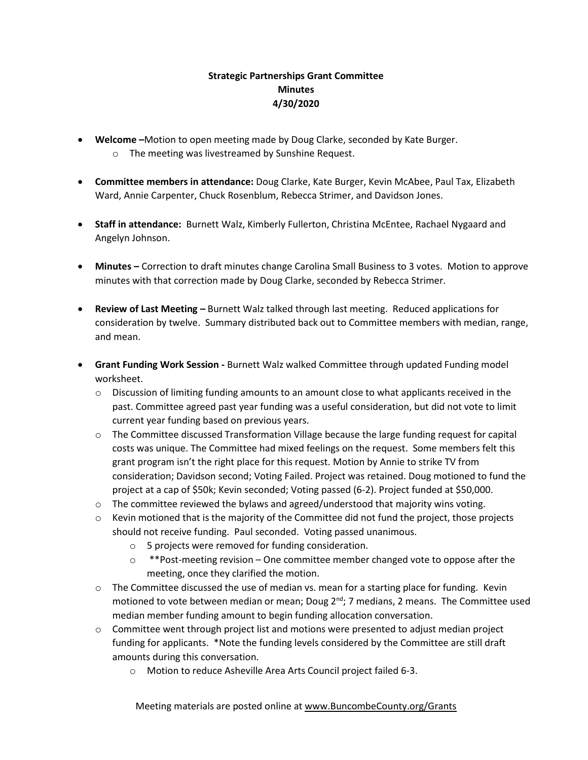## **Strategic Partnerships Grant Committee Minutes 4/30/2020**

- **Welcome –**Motion to open meeting made by Doug Clarke, seconded by Kate Burger.
	- o The meeting was livestreamed by Sunshine Request.
- **Committee members in attendance:** Doug Clarke, Kate Burger, Kevin McAbee, Paul Tax, Elizabeth Ward, Annie Carpenter, Chuck Rosenblum, Rebecca Strimer, and Davidson Jones.
- **Staff in attendance:** Burnett Walz, Kimberly Fullerton, Christina McEntee, Rachael Nygaard and Angelyn Johnson.
- **Minutes –** Correction to draft minutes change Carolina Small Business to 3 votes. Motion to approve minutes with that correction made by Doug Clarke, seconded by Rebecca Strimer.
- **Review of Last Meeting –** Burnett Walz talked through last meeting. Reduced applications for consideration by twelve. Summary distributed back out to Committee members with median, range, and mean.
- **Grant Funding Work Session -** Burnett Walz walked Committee through updated Funding model worksheet.
	- $\circ$  Discussion of limiting funding amounts to an amount close to what applicants received in the past. Committee agreed past year funding was a useful consideration, but did not vote to limit current year funding based on previous years.
	- o The Committee discussed Transformation Village because the large funding request for capital costs was unique. The Committee had mixed feelings on the request. Some members felt this grant program isn't the right place for this request. Motion by Annie to strike TV from consideration; Davidson second; Voting Failed. Project was retained. Doug motioned to fund the project at a cap of \$50k; Kevin seconded; Voting passed (6-2). Project funded at \$50,000.
	- $\circ$  The committee reviewed the bylaws and agreed/understood that majority wins voting.
	- $\circ$  Kevin motioned that is the majority of the Committee did not fund the project, those projects should not receive funding. Paul seconded. Voting passed unanimous.
		- o 5 projects were removed for funding consideration.
		- $\circ$  \*\*Post-meeting revision One committee member changed vote to oppose after the meeting, once they clarified the motion.
	- $\circ$  The Committee discussed the use of median vs. mean for a starting place for funding. Kevin motioned to vote between median or mean; Doug  $2^{nd}$ ; 7 medians, 2 means. The Committee used median member funding amount to begin funding allocation conversation.
	- $\circ$  Committee went through project list and motions were presented to adjust median project funding for applicants. \*Note the funding levels considered by the Committee are still draft amounts during this conversation.
		- o Motion to reduce Asheville Area Arts Council project failed 6-3.